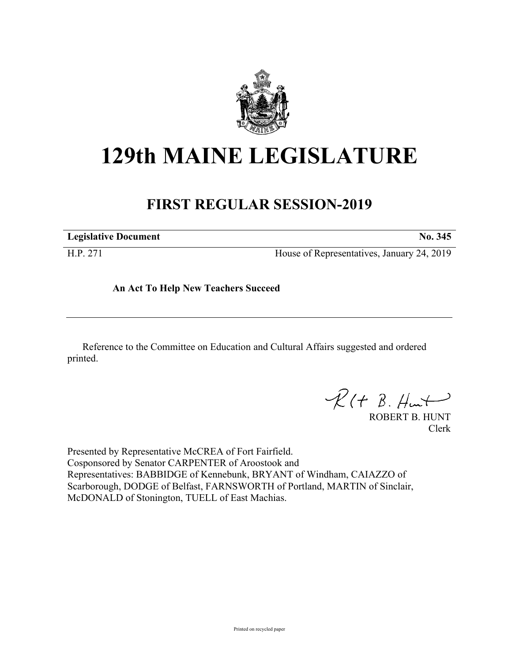

## **129th MAINE LEGISLATURE**

## **FIRST REGULAR SESSION-2019**

**Legislative Document No. 345**

H.P. 271 House of Representatives, January 24, 2019

**An Act To Help New Teachers Succeed**

Reference to the Committee on Education and Cultural Affairs suggested and ordered printed.

 $R(t B. H +$ 

ROBERT B. HUNT Clerk

Presented by Representative McCREA of Fort Fairfield. Cosponsored by Senator CARPENTER of Aroostook and Representatives: BABBIDGE of Kennebunk, BRYANT of Windham, CAIAZZO of Scarborough, DODGE of Belfast, FARNSWORTH of Portland, MARTIN of Sinclair, McDONALD of Stonington, TUELL of East Machias.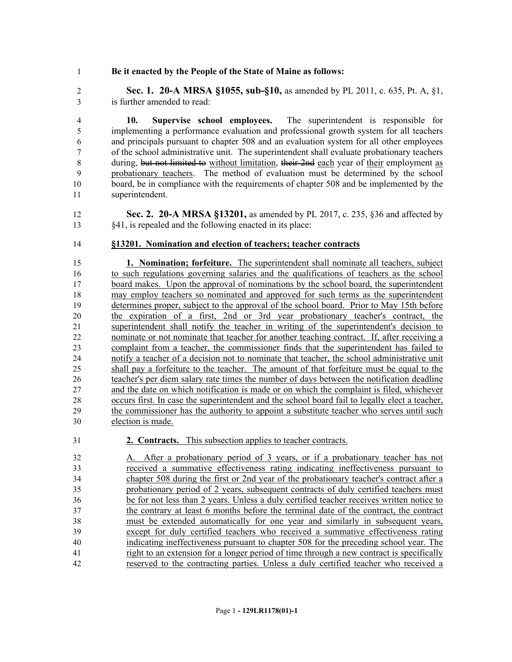## **Be it enacted by the People of the State of Maine as follows:**

 **Sec. 1. 20-A MRSA §1055, sub-§10,** as amended by PL 2011, c. 635, Pt. A, §1, is further amended to read:

 **10. Supervise school employees.** The superintendent is responsible for implementing a performance evaluation and professional growth system for all teachers and principals pursuant to chapter 508 and an evaluation system for all other employees of the school administrative unit. The superintendent shall evaluate probationary teachers 8 during, but not limited to without limitation, their 2nd each year of their employment as probationary teachers. The method of evaluation must be determined by the school board, be in compliance with the requirements of chapter 508 and be implemented by the superintendent.

 **Sec. 2. 20-A MRSA §13201,** as amended by PL 2017, c. 235, §36 and affected by §41, is repealed and the following enacted in its place:

## **§13201. Nomination and election of teachers; teacher contracts**

 **1. Nomination; forfeiture.** The superintendent shall nominate all teachers, subject to such regulations governing salaries and the qualifications of teachers as the school board makes. Upon the approval of nominations by the school board, the superintendent may employ teachers so nominated and approved for such terms as the superintendent determines proper, subject to the approval of the school board. Prior to May 15th before the expiration of a first, 2nd or 3rd year probationary teacher's contract, the superintendent shall notify the teacher in writing of the superintendent's decision to nominate or not nominate that teacher for another teaching contract. If, after receiving a complaint from a teacher, the commissioner finds that the superintendent has failed to notify a teacher of a decision not to nominate that teacher, the school administrative unit shall pay a forfeiture to the teacher. The amount of that forfeiture must be equal to the teacher's per diem salary rate times the number of days between the notification deadline and the date on which notification is made or on which the complaint is filed, whichever occurs first. In case the superintendent and the school board fail to legally elect a teacher, the commissioner has the authority to appoint a substitute teacher who serves until such election is made.

**2. Contracts.** This subsection applies to teacher contracts.

 A. After a probationary period of 3 years, or if a probationary teacher has not received a summative effectiveness rating indicating ineffectiveness pursuant to chapter 508 during the first or 2nd year of the probationary teacher's contract after a probationary period of 2 years, subsequent contracts of duly certified teachers must be for not less than 2 years. Unless a duly certified teacher receives written notice to the contrary at least 6 months before the terminal date of the contract, the contract must be extended automatically for one year and similarly in subsequent years, except for duly certified teachers who received a summative effectiveness rating indicating ineffectiveness pursuant to chapter 508 for the preceding school year. The right to an extension for a longer period of time through a new contract is specifically reserved to the contracting parties. Unless a duly certified teacher who received a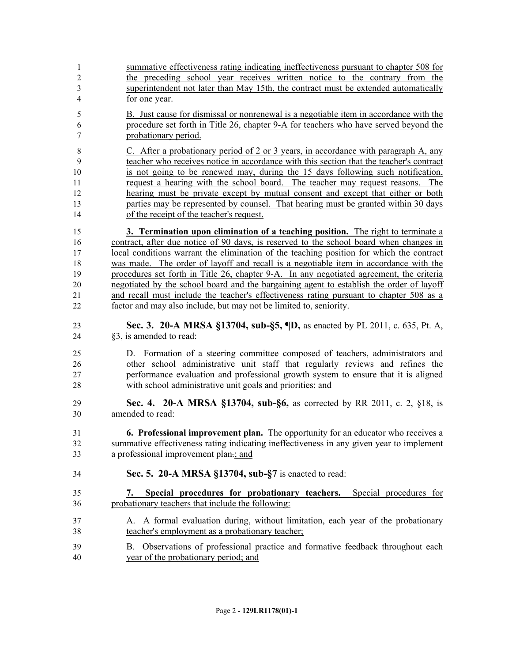|                | summative effectiveness rating indicating ineffectiveness pursuant to chapter 508 for |
|----------------|---------------------------------------------------------------------------------------|
| 2              | the preceding school year receives written notice to the contrary from the            |
| 3              | superintendent not later than May 15th, the contract must be extended automatically   |
| $\overline{4}$ | for one year.                                                                         |

 B. Just cause for dismissal or nonrenewal is a negotiable item in accordance with the procedure set forth in Title 26, chapter 9-A for teachers who have served beyond the probationary period.

 C. After a probationary period of 2 or 3 years, in accordance with paragraph A, any teacher who receives notice in accordance with this section that the teacher's contract 10 is not going to be renewed may, during the 15 days following such notification, request a hearing with the school board. The teacher may request reasons. The hearing must be private except by mutual consent and except that either or both parties may be represented by counsel. That hearing must be granted within 30 days of the receipt of the teacher's request.

 **3. Termination upon elimination of a teaching position.** The right to terminate a contract, after due notice of 90 days, is reserved to the school board when changes in local conditions warrant the elimination of the teaching position for which the contract was made. The order of layoff and recall is a negotiable item in accordance with the procedures set forth in Title 26, chapter 9-A. In any negotiated agreement, the criteria negotiated by the school board and the bargaining agent to establish the order of layoff 21 and recall must include the teacher's effectiveness rating pursuant to chapter 508 as a factor and may also include, but may not be limited to, seniority.

 **Sec. 3. 20-A MRSA §13704, sub-§5, ¶D,** as enacted by PL 2011, c. 635, Pt. A, §3, is amended to read:

 D. Formation of a steering committee composed of teachers, administrators and other school administrative unit staff that regularly reviews and refines the performance evaluation and professional growth system to ensure that it is aligned with school administrative unit goals and priorities; and

- **Sec. 4. 20-A MRSA §13704, sub-§6,** as corrected by RR 2011, c. 2, §18, is amended to read:
- **6. Professional improvement plan.** The opportunity for an educator who receives a summative effectiveness rating indicating ineffectiveness in any given year to implement a professional improvement plan.; and
- **Sec. 5. 20-A MRSA §13704, sub-§7** is enacted to read:
- **7. Special procedures for probationary teachers.** Special procedures for probationary teachers that include the following:
- A. A formal evaluation during, without limitation, each year of the probationary teacher's employment as a probationary teacher;
- B. Observations of professional practice and formative feedback throughout each year of the probationary period; and